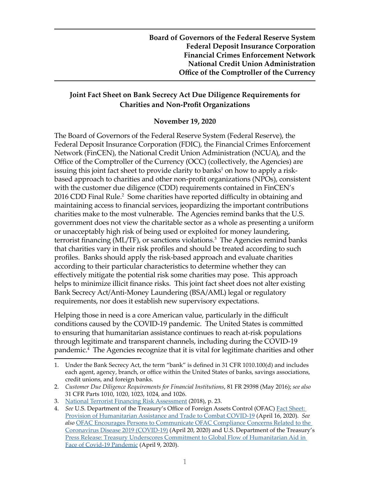## **Joint Fact Sheet on Bank Secrecy Act Due Diligence Requirements for Charities and Non-Profit Organizations**

#### **November 19, 2020**

The Board of Governors of the Federal Reserve System (Federal Reserve), the Federal Deposit Insurance Corporation (FDIC), the Financial Crimes Enforcement Network (FinCEN), the National Credit Union Administration (NCUA), and the Office of the Comptroller of the Currency (OCC) (collectively, the Agencies) are issuing this joint fact sheet to provide clarity to banks $^1$  on how to apply a riskbased approach to charities and other non-profit organizations (NPOs), consistent with the customer due diligence (CDD) requirements contained in FinCEN's 2016 CDD Final Rule.<sup>2</sup> Some charities have reported difficulty in obtaining and maintaining access to financial services, jeopardizing the important contributions charities make to the most vulnerable. The Agencies remind banks that the U.S. government does not view the charitable sector as a whole as presenting a uniform or unacceptably high risk of being used or exploited for money laundering, terrorist financing (ML/TF), or sanctions violations.<sup>3</sup> The Agencies remind banks that charities vary in their risk profiles and should be treated according to such profiles. Banks should apply the risk-based approach and evaluate charities according to their particular characteristics to determine whether they can effectively mitigate the potential risk some charities may pose. This approach helps to minimize illicit finance risks. This joint fact sheet does not alter existing Bank Secrecy Act/Anti-Money Laundering (BSA/AML) legal or regulatory requirements, nor does it establish new supervisory expectations.

Helping those in need is a core American value, particularly in the difficult conditions caused by the COVID-19 pandemic. The United States is committed to ensuring that humanitarian assistance continues to reach at-risk populations through legitimate and transparent channels, including during the COVID-19 pandemic.4 The Agencies recognize that it is vital for legitimate charities and other

<sup>1.</sup> Under the Bank Secrecy Act, the term "bank" is defined in 31 CFR 1010.100(d) and includes each agent, agency, branch, or office within the United States of banks, savings associations, credit unions, and foreign banks.

<sup>2.</sup> *Customer Due Diligence Requirements for Financial Institutions*, 81 FR 29398 (May 2016); *see also*  31 CFR Parts 1010, 1020, 1023, 1024, and 1026.

<sup>3.</sup> [National Terrorist Financing Risk Assessment](https://home.treasury.gov/system/files/136/2018ntfra_12182018.pdf) (2018), p. 23.

<sup>4.</sup> *See* U.S. Department of the Treasury's Office of Foreign Assets Control (OFAC) [Fact Sheet:](https://home.treasury.gov/policy-issues/financial-sanctions/sanctions-programs-and-country-information)  [Provision of Humanitarian Assistance and Trade to Combat COVID-19](https://home.treasury.gov/policy-issues/financial-sanctions/sanctions-programs-and-country-information) (April 16, 2020). *See also* [OFAC Encourages Persons to Communicate OFAC Compliance Concerns Related to the](https://home.treasury.gov/policy-issues/financial-sanctions/recent-actions)  [Coronavirus Disease 2019 \(COVID-19\)](https://home.treasury.gov/policy-issues/financial-sanctions/recent-actions) (April 20, 2020) and U.S. Department of the Treasury's [Press Release: Treasury Underscores Commitment to Global Flow of Humanitarian Aid in](https://home.treasury.gov/news/press-releases/sm969)  [Face of Covid-19 Pandemic](https://home.treasury.gov/news/press-releases/sm969) (April 9, 2020).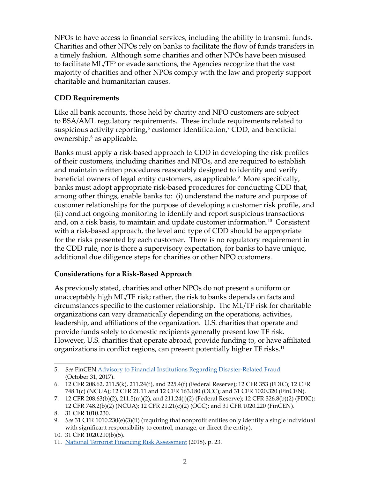NPOs to have access to financial services, including the ability to transmit funds. Charities and other NPOs rely on banks to facilitate the flow of funds transfers in a timely fashion. Although some charities and other NPOs have been misused to facilitate ML/TF<sup>5</sup> or evade sanctions, the Agencies recognize that the vast majority of charities and other NPOs comply with the law and properly support charitable and humanitarian causes.

# **CDD Requirements**

Like all bank accounts, those held by charity and NPO customers are subject to BSA/AML regulatory requirements. These include requirements related to suspicious activity reporting, $6$  customer identification, $7$  CDD, and beneficial ownership,<sup>8</sup> as applicable.

Banks must apply a risk-based approach to CDD in developing the risk profiles of their customers, including charities and NPOs, and are required to establish and maintain written procedures reasonably designed to identify and verify beneficial owners of legal entity customers, as applicable.<sup>9</sup> More specifically, banks must adopt appropriate risk-based procedures for conducting CDD that, among other things, enable banks to: (i) understand the nature and purpose of customer relationships for the purpose of developing a customer risk profile, and (ii) conduct ongoing monitoring to identify and report suspicious transactions and, on a risk basis, to maintain and update customer information.<sup>10</sup> Consistent with a risk-based approach, the level and type of CDD should be appropriate for the risks presented by each customer. There is no regulatory requirement in the CDD rule, nor is there a supervisory expectation, for banks to have unique, additional due diligence steps for charities or other NPO customers.

### **Considerations for a Risk-Based Approach**

As previously stated, charities and other NPOs do not present a uniform or unacceptably high ML/TF risk; rather, the risk to banks depends on facts and circumstances specific to the customer relationship. The ML/TF risk for charitable organizations can vary dramatically depending on the operations, activities, leadership, and affiliations of the organization. U.S. charities that operate and provide funds solely to domestic recipients generally present low TF risk. However, U.S. charities that operate abroad, provide funding to, or have affiliated organizations in conflict regions, can present potentially higher TF risks.<sup>11</sup>

<sup>5.</sup> *See* FinCEN [Advisory to Financial Institutions Regarding Disaster-Related Fraud](https://www.fincen.gov/resources/advisories/fincen-advisory-fin-2017-a007-0) (October 31, 2017).

<sup>6.</sup> 12 CFR 208.62, 211.5(k), 211.24(f), and 225.4(f) (Federal Reserve); 12 CFR 353 (FDIC); 12 CFR 748.1(c) (NCUA); 12 CFR 21.11 and 12 CFR 163.180 (OCC); and 31 CFR 1020.320 (FinCEN).

<sup>7.</sup> 12 CFR 208.63(b)(2), 211.5(m)(2), and 211.24(j)(2) (Federal Reserve); 12 CFR 326.8(b)(2) (FDIC); 12 CFR 748.2(b)(2) (NCUA); 12 CFR 21.21(c)(2) (OCC); and 31 CFR 1020.220 (FinCEN).

<sup>8.</sup> 31 CFR 1010.230.

<sup>9.</sup> *See* 31 CFR 1010.230(e)(3)(ii) (requiring that nonprofit entities only identify a single individual with significant responsibility to control, manage, or direct the entity).

<sup>10.</sup> 31 CFR 1020.210(b)(5).

<sup>11.</sup> [National Terrorist Financing Risk Assessment](https://home.treasury.gov/system/files/136/2018ntfra_12182018.pdf) (2018), p. 23.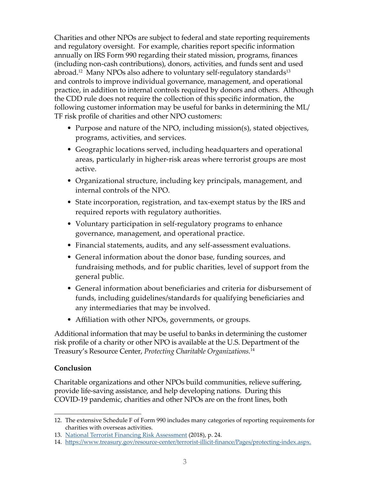Charities and other NPOs are subject to federal and state reporting requirements and regulatory oversight. For example, charities report specific information annually on IRS Form 990 regarding their stated mission, programs, finances (including non-cash contributions), donors, activities, and funds sent and used abroad.<sup>12</sup> Many NPOs also adhere to voluntary self-regulatory standards<sup>13</sup> and controls to improve individual governance, management, and operational practice, in addition to internal controls required by donors and others. Although the CDD rule does not require the collection of this specific information, the following customer information may be useful for banks in determining the ML/ TF risk profile of charities and other NPO customers:

- Purpose and nature of the NPO, including mission(s), stated objectives, programs, activities, and services.
- Geographic locations served, including headquarters and operational areas, particularly in higher-risk areas where terrorist groups are most active.
- Organizational structure, including key principals, management, and internal controls of the NPO.
- State incorporation, registration, and tax-exempt status by the IRS and required reports with regulatory authorities.
- Voluntary participation in self-regulatory programs to enhance governance, management, and operational practice.
- Financial statements, audits, and any self-assessment evaluations.
- General information about the donor base, funding sources, and fundraising methods, and for public charities, level of support from the general public.
- General information about beneficiaries and criteria for disbursement of funds, including guidelines/standards for qualifying beneficiaries and any intermediaries that may be involved.
- Affiliation with other NPOs, governments, or groups.

Additional information that may be useful to banks in determining the customer risk profile of a charity or other NPO is available at the U.S. Department of the Treasury's Resource Center, *Protecting Charitable Organizations.*<sup>14</sup>

### **Conclusion**

Charitable organizations and other NPOs build communities, relieve suffering, provide life-saving assistance, and help developing nations. During this COVID-19 pandemic, charities and other NPOs are on the front lines, both

<sup>12.</sup> The extensive Schedule F of Form 990 includes many categories of reporting requirements for charities with overseas activities.

<sup>13.</sup> [National Terrorist Financing Risk Assessment](https://home.treasury.gov/system/files/136/2018ntfra_12182018.pdf) (2018), p. 24.

<sup>14.</sup> [https://www.treasury.gov/resource-center/terrorist-illicit-finance/Pages/protecting-index.aspx.](https://www.treasury.gov/resource-center/terrorist-illicit-finance/Pages/protecting-index.aspx)